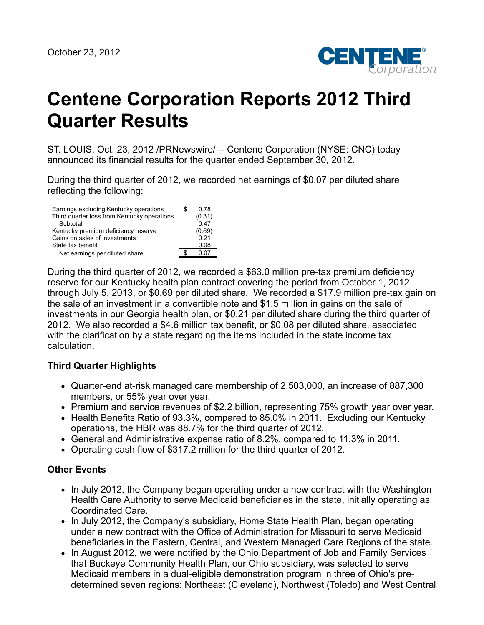

# **Centene Corporation Reports 2012 Third Quarter Results**

ST. LOUIS, Oct. 23, 2012 /PRNewswire/ -- Centene Corporation (NYSE: CNC) today announced its financial results for the quarter ended September 30, 2012.

During the third quarter of 2012, we recorded net earnings of \$0.07 per diluted share reflecting the following:

| Earnings excluding Kentucky operations<br>Third quarter loss from Kentucky operations | S | 0.78<br>(0.31) |
|---------------------------------------------------------------------------------------|---|----------------|
| Subtotal                                                                              |   | 0.47           |
| Kentucky premium deficiency reserve                                                   |   | (0.69)         |
| Gains on sales of investments                                                         |   | 0.21           |
| State tax benefit                                                                     |   | 0.08           |
| Net earnings per diluted share                                                        |   | 0. 07          |

During the third quarter of 2012, we recorded a \$63.0 million pre-tax premium deficiency reserve for our Kentucky health plan contract covering the period from October 1, 2012 through July 5, 2013, or \$0.69 per diluted share. We recorded a \$17.9 million pre-tax gain on the sale of an investment in a convertible note and \$1.5 million in gains on the sale of investments in our Georgia health plan, or \$0.21 per diluted share during the third quarter of 2012. We also recorded a \$4.6 million tax benefit, or \$0.08 per diluted share, associated with the clarification by a state regarding the items included in the state income tax calculation.

## **Third Quarter Highlights**

- Quarter-end at-risk managed care membership of 2,503,000, an increase of 887,300 members, or 55% year over year.
- Premium and service revenues of \$2.2 billion, representing 75% growth year over year.
- Health Benefits Ratio of 93.3%, compared to 85.0% in 2011. Excluding our Kentucky operations, the HBR was 88.7% for the third quarter of 2012.
- General and Administrative expense ratio of 8.2%, compared to 11.3% in 2011.
- Operating cash flow of \$317.2 million for the third quarter of 2012.

## **Other Events**

- In July 2012, the Company began operating under a new contract with the Washington Health Care Authority to serve Medicaid beneficiaries in the state, initially operating as Coordinated Care.
- In July 2012, the Company's subsidiary, Home State Health Plan, began operating under a new contract with the Office of Administration for Missouri to serve Medicaid beneficiaries in the Eastern, Central, and Western Managed Care Regions of the state.
- In August 2012, we were notified by the Ohio Department of Job and Family Services that Buckeye Community Health Plan, our Ohio subsidiary, was selected to serve Medicaid members in a dual-eligible demonstration program in three of Ohio's predetermined seven regions: Northeast (Cleveland), Northwest (Toledo) and West Central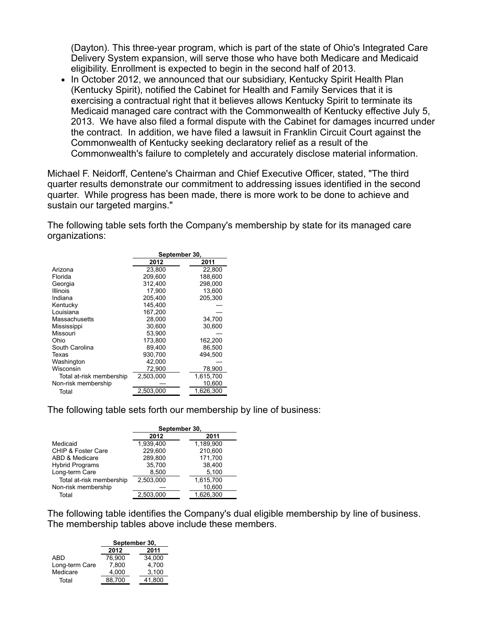(Dayton). This three-year program, which is part of the state of Ohio's Integrated Care Delivery System expansion, will serve those who have both Medicare and Medicaid eligibility. Enrollment is expected to begin in the second half of 2013.

• In October 2012, we announced that our subsidiary, Kentucky Spirit Health Plan (Kentucky Spirit), notified the Cabinet for Health and Family Services that it is exercising a contractual right that it believes allows Kentucky Spirit to terminate its Medicaid managed care contract with the Commonwealth of Kentucky effective July 5, 2013. We have also filed a formal dispute with the Cabinet for damages incurred under the contract. In addition, we have filed a lawsuit in Franklin Circuit Court against the Commonwealth of Kentucky seeking declaratory relief as a result of the Commonwealth's failure to completely and accurately disclose material information.

Michael F. Neidorff, Centene's Chairman and Chief Executive Officer, stated, "The third quarter results demonstrate our commitment to addressing issues identified in the second quarter. While progress has been made, there is more work to be done to achieve and sustain our targeted margins."

The following table sets forth the Company's membership by state for its managed care organizations:

|                          | September 30, |           |  |  |  |
|--------------------------|---------------|-----------|--|--|--|
|                          | 2012          | 2011      |  |  |  |
| Arizona                  | 23.800        | 22.800    |  |  |  |
| Florida                  | 209.600       | 188,600   |  |  |  |
| Georgia                  | 312,400       | 298.000   |  |  |  |
| <b>Illinois</b>          | 17.900        | 13,600    |  |  |  |
| Indiana                  | 205.400       | 205,300   |  |  |  |
| Kentucky                 | 145.400       |           |  |  |  |
| Louisiana                | 167.200       |           |  |  |  |
| Massachusetts            | 28.000        | 34,700    |  |  |  |
| Mississippi              | 30,600        | 30,600    |  |  |  |
| Missouri                 | 53.900        |           |  |  |  |
| Ohio                     | 173.800       | 162,200   |  |  |  |
| South Carolina           | 89.400        | 86,500    |  |  |  |
| Texas                    | 930,700       | 494,500   |  |  |  |
| Washington               | 42.000        |           |  |  |  |
| Wisconsin                | 72,900        | 78,900    |  |  |  |
| Total at-risk membership | 2,503,000     | 1,615,700 |  |  |  |
| Non-risk membership      |               | 10,600    |  |  |  |
| Total                    | 2,503,000     | 1,626,300 |  |  |  |

The following table sets forth our membership by line of business:

|                          | September 30, |           |  |  |  |
|--------------------------|---------------|-----------|--|--|--|
|                          | 2012          | 2011      |  |  |  |
| Medicaid                 | 1.939.400     | 1.189.900 |  |  |  |
| CHIP & Foster Care       | 229,600       | 210,600   |  |  |  |
| ABD & Medicare           | 289.800       | 171,700   |  |  |  |
| <b>Hybrid Programs</b>   | 35,700        | 38,400    |  |  |  |
| Long-term Care           | 8.500         | 5,100     |  |  |  |
| Total at-risk membership | 2.503.000     | 1,615,700 |  |  |  |
| Non-risk membership      |               | 10,600    |  |  |  |
| Total                    | 2,503,000     | 1,626,300 |  |  |  |

The following table identifies the Company's dual eligible membership by line of business. The membership tables above include these members.

|                | September 30, |        |  |  |  |  |
|----------------|---------------|--------|--|--|--|--|
|                | 2012<br>2011  |        |  |  |  |  |
| ABD            | 76.900        | 34.000 |  |  |  |  |
| Long-term Care | 7.800         | 4.700  |  |  |  |  |
| Medicare       | 4.000         | 3,100  |  |  |  |  |
| Total          | 88.700        | 41.800 |  |  |  |  |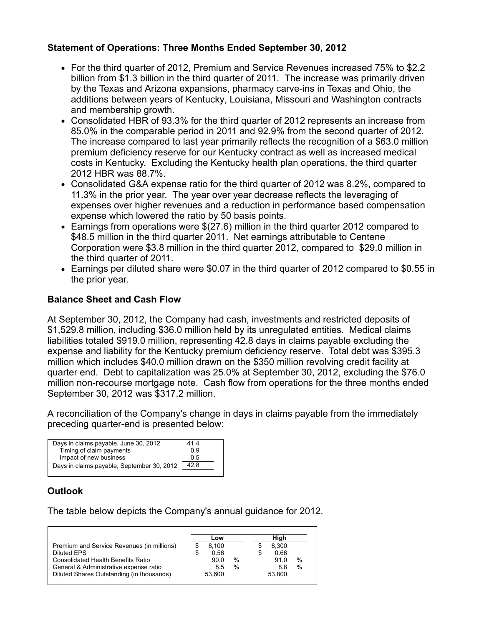# **Statement of Operations: Three Months Ended September 30, 2012**

- For the third quarter of 2012, Premium and Service Revenues increased 75% to \$2.2 billion from \$1.3 billion in the third quarter of 2011. The increase was primarily driven by the Texas and Arizona expansions, pharmacy carve-ins in Texas and Ohio, the additions between years of Kentucky, Louisiana, Missouri and Washington contracts and membership growth.
- Consolidated HBR of 93.3% for the third quarter of 2012 represents an increase from 85.0% in the comparable period in 2011 and 92.9% from the second quarter of 2012. The increase compared to last year primarily reflects the recognition of a \$63.0 million premium deficiency reserve for our Kentucky contract as well as increased medical costs in Kentucky. Excluding the Kentucky health plan operations, the third quarter 2012 HBR was 88.7%.
- Consolidated G&A expense ratio for the third quarter of 2012 was 8.2%, compared to 11.3% in the prior year. The year over year decrease reflects the leveraging of expenses over higher revenues and a reduction in performance based compensation expense which lowered the ratio by 50 basis points.
- Earnings from operations were \$(27.6) million in the third quarter 2012 compared to \$48.5 million in the third quarter 2011. Net earnings attributable to Centene Corporation were \$3.8 million in the third quarter 2012, compared to \$29.0 million in the third quarter of 2011.
- Earnings per diluted share were \$0.07 in the third quarter of 2012 compared to \$0.55 in the prior year.

## **Balance Sheet and Cash Flow**

At September 30, 2012, the Company had cash, investments and restricted deposits of \$1,529.8 million, including \$36.0 million held by its unregulated entities. Medical claims liabilities totaled \$919.0 million, representing 42.8 days in claims payable excluding the expense and liability for the Kentucky premium deficiency reserve. Total debt was \$395.3 million which includes \$40.0 million drawn on the \$350 million revolving credit facility at quarter end. Debt to capitalization was 25.0% at September 30, 2012, excluding the \$76.0 million non-recourse mortgage note. Cash flow from operations for the three months ended September 30, 2012 was \$317.2 million.

A reconciliation of the Company's change in days in claims payable from the immediately preceding quarter-end is presented below:

| Days in claims payable, June 30, 2012      | 414  |
|--------------------------------------------|------|
| Timing of claim payments                   | 0 9  |
| Impact of new business                     | 05   |
| Days in claims payable, September 30, 2012 | 42.8 |
|                                            |      |

# **Outlook**

The table below depicts the Company's annual guidance for 2012.

|                                            | Low        |      | High   |               |
|--------------------------------------------|------------|------|--------|---------------|
| Premium and Service Revenues (in millions) | 8.100      |      | 8.300  |               |
| Diluted EPS                                | \$<br>0.56 |      | 0.66   |               |
| <b>Consolidated Health Benefits Ratio</b>  | 90.0       | $\%$ | 91.0   | $\%$          |
| General & Administrative expense ratio     | 8.5        | $\%$ | 8.8    | $\frac{0}{0}$ |
| Diluted Shares Outstanding (in thousands)  | 53.600     |      | 53.800 |               |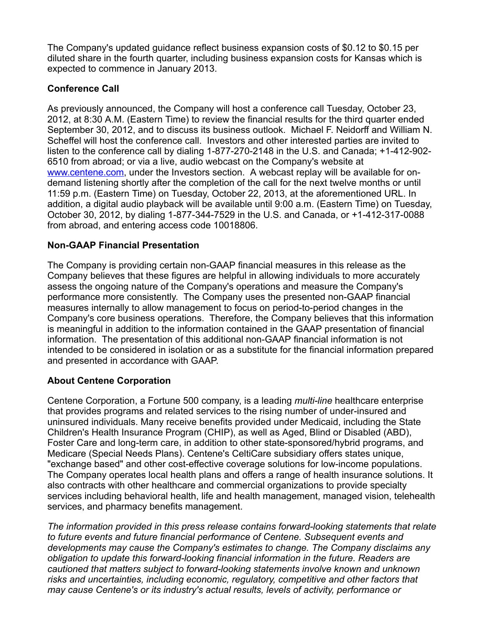The Company's updated guidance reflect business expansion costs of \$0.12 to \$0.15 per diluted share in the fourth quarter, including business expansion costs for Kansas which is expected to commence in January 2013.

# **Conference Call**

As previously announced, the Company will host a conference call Tuesday, October 23, 2012, at 8:30 A.M. (Eastern Time) to review the financial results for the third quarter ended September 30, 2012, and to discuss its business outlook. Michael F. Neidorff and William N. Scheffel will host the conference call. Investors and other interested parties are invited to listen to the conference call by dialing 1-877-270-2148 in the U.S. and Canada; +1-412-902- 6510 from abroad; or via a live, audio webcast on the Company's website at [www.centene.com,](http://www.centene.com/) under the Investors section. A webcast replay will be available for ondemand listening shortly after the completion of the call for the next twelve months or until 11:59 p.m. (Eastern Time) on Tuesday, October 22, 2013, at the aforementioned URL. In addition, a digital audio playback will be available until 9:00 a.m. (Eastern Time) on Tuesday, October 30, 2012, by dialing 1-877-344-7529 in the U.S. and Canada, or +1-412-317-0088 from abroad, and entering access code 10018806.

# **Non-GAAP Financial Presentation**

The Company is providing certain non-GAAP financial measures in this release as the Company believes that these figures are helpful in allowing individuals to more accurately assess the ongoing nature of the Company's operations and measure the Company's performance more consistently. The Company uses the presented non-GAAP financial measures internally to allow management to focus on period-to-period changes in the Company's core business operations. Therefore, the Company believes that this information is meaningful in addition to the information contained in the GAAP presentation of financial information. The presentation of this additional non-GAAP financial information is not intended to be considered in isolation or as a substitute for the financial information prepared and presented in accordance with GAAP.

# **About Centene Corporation**

Centene Corporation, a Fortune 500 company, is a leading *multi-line* healthcare enterprise that provides programs and related services to the rising number of under-insured and uninsured individuals. Many receive benefits provided under Medicaid, including the State Children's Health Insurance Program (CHIP), as well as Aged, Blind or Disabled (ABD), Foster Care and long-term care, in addition to other state-sponsored/hybrid programs, and Medicare (Special Needs Plans). Centene's CeltiCare subsidiary offers states unique, "exchange based" and other cost-effective coverage solutions for low-income populations. The Company operates local health plans and offers a range of health insurance solutions. It also contracts with other healthcare and commercial organizations to provide specialty services including behavioral health, life and health management, managed vision, telehealth services, and pharmacy benefits management.

*The information provided in this press release contains forward-looking statements that relate to future events and future financial performance of Centene. Subsequent events and developments may cause the Company's estimates to change. The Company disclaims any obligation to update this forward-looking financial information in the future. Readers are cautioned that matters subject to forward-looking statements involve known and unknown risks and uncertainties, including economic, regulatory, competitive and other factors that may cause Centene's or its industry's actual results, levels of activity, performance or*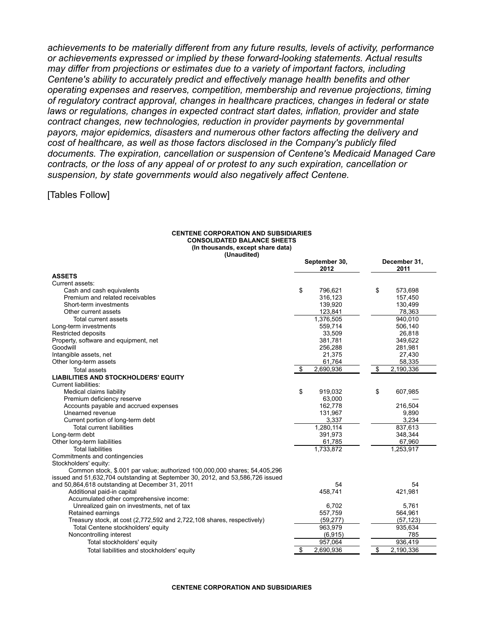*achievements to be materially different from any future results, levels of activity, performance or achievements expressed or implied by these forward-looking statements. Actual results may differ from projections or estimates due to a variety of important factors, including Centene's ability to accurately predict and effectively manage health benefits and other operating expenses and reserves, competition, membership and revenue projections, timing of regulatory contract approval, changes in healthcare practices, changes in federal or state laws or regulations, changes in expected contract start dates, inflation, provider and state contract changes, new technologies, reduction in provider payments by governmental payors, major epidemics, disasters and numerous other factors affecting the delivery and cost of healthcare, as well as those factors disclosed in the Company's publicly filed documents. The expiration, cancellation or suspension of Centene's Medicaid Managed Care contracts, or the loss of any appeal of or protest to any such expiration, cancellation or suspension, by state governments would also negatively affect Centene.*

## [Tables Follow]

### **CENTENE CORPORATION AND SUBSIDIARIES CONSOLIDATED BALANCE SHEETS (In thousands, except share data) (Unaudited)**

|                                                                                | September 30,<br>2012 | December 31,<br>2011 |
|--------------------------------------------------------------------------------|-----------------------|----------------------|
| <b>ASSETS</b>                                                                  |                       |                      |
| Current assets:                                                                |                       |                      |
| Cash and cash equivalents                                                      | \$<br>796,621         | \$<br>573,698        |
| Premium and related receivables                                                | 316,123               | 157,450              |
| Short-term investments                                                         | 139,920               | 130,499              |
| Other current assets                                                           | 123,841               | 78,363               |
| Total current assets                                                           | 1,376,505             | 940,010              |
| Long-term investments                                                          | 559,714               | 506,140              |
| <b>Restricted deposits</b>                                                     | 33,509                | 26,818               |
| Property, software and equipment, net                                          | 381,781               | 349,622              |
| Goodwill                                                                       | 256,288               | 281,981              |
| Intangible assets, net                                                         | 21,375                | 27,430               |
| Other long-term assets                                                         | 61,764                | 58,335               |
| <b>Total assets</b>                                                            | 2,690,936<br>\$       | \$<br>2,190,336      |
| <b>LIABILITIES AND STOCKHOLDERS' EQUITY</b>                                    |                       |                      |
| <b>Current liabilities:</b>                                                    |                       |                      |
| Medical claims liability                                                       | \$<br>919,032         | \$<br>607,985        |
| Premium deficiency reserve                                                     | 63,000                |                      |
| Accounts payable and accrued expenses                                          | 162,778               | 216,504              |
| Unearned revenue                                                               | 131,967               | 9,890                |
| Current portion of long-term debt                                              | 3,337                 | 3,234                |
| <b>Total current liabilities</b>                                               | 1,280,114             | 837,613              |
| Long-term debt                                                                 | 391,973               | 348,344              |
| Other long-term liabilities                                                    | 61,785                | 67,960               |
| <b>Total liabilities</b>                                                       | 1,733,872             | 1,253,917            |
| Commitments and contingencies                                                  |                       |                      |
| Stockholders' equity:                                                          |                       |                      |
| Common stock, \$.001 par value; authorized 100,000,000 shares; 54,405,296      |                       |                      |
| issued and 51,632,704 outstanding at September 30, 2012, and 53,586,726 issued |                       |                      |
| and 50,864,618 outstanding at December 31, 2011                                | 54                    | 54                   |
| Additional paid-in capital                                                     | 458,741               | 421,981              |
| Accumulated other comprehensive income:                                        |                       |                      |
| Unrealized gain on investments, net of tax                                     | 6,702                 | 5,761                |
| Retained earnings                                                              | 557,759               | 564,961              |
| Treasury stock, at cost (2,772,592 and 2,722,108 shares, respectively)         | (59, 277)             | (57, 123)            |
| Total Centene stockholders' equity                                             | 963,979               | 935,634              |
| Noncontrolling interest                                                        | (6, 915)              | 785                  |
| Total stockholders' equity                                                     | 957,064               | 936,419              |
| Total liabilities and stockholders' equity                                     | \$<br>2,690,936       | \$<br>2,190,336      |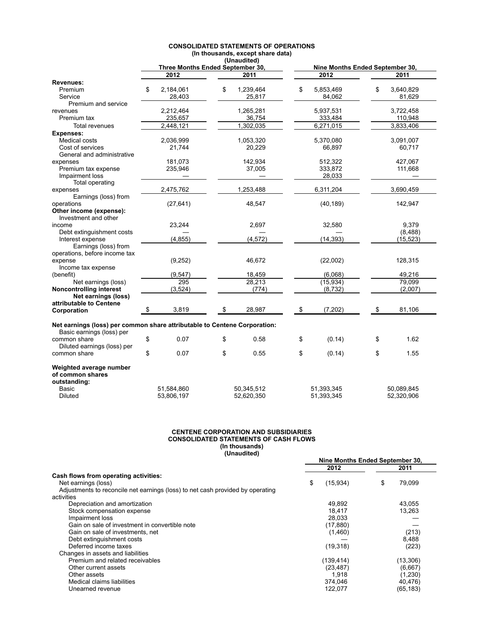|                                                                           | (Unduulleu)<br>Three Months Ended September 30, |    |            | Nine Months Ended September 30, |            |    |            |
|---------------------------------------------------------------------------|-------------------------------------------------|----|------------|---------------------------------|------------|----|------------|
|                                                                           | 2012                                            |    | 2011       |                                 | 2012       |    | 2011       |
| <b>Revenues:</b>                                                          |                                                 |    |            |                                 |            |    |            |
| Premium                                                                   | \$<br>2,184,061                                 | \$ | 1,239,464  | \$                              | 5,853,469  | \$ | 3,640,829  |
| Service                                                                   | 28,403                                          |    | 25,817     |                                 | 84,062     |    | 81,629     |
| Premium and service                                                       |                                                 |    |            |                                 |            |    |            |
| revenues                                                                  | 2,212,464                                       |    | 1,265,281  |                                 | 5,937,531  |    | 3,722,458  |
| Premium tax                                                               | 235,657                                         |    | 36,754     |                                 | 333,484    |    | 110,948    |
| Total revenues                                                            | 2,448,121                                       |    | 1,302,035  |                                 | 6,271,015  |    | 3,833,406  |
| <b>Expenses:</b>                                                          |                                                 |    |            |                                 |            |    |            |
| Medical costs                                                             | 2,036,999                                       |    | 1,053,320  |                                 | 5,370,080  |    | 3,091,007  |
| Cost of services                                                          | 21,744                                          |    | 20,229     |                                 | 66,897     |    | 60,717     |
| General and administrative                                                |                                                 |    |            |                                 |            |    |            |
| expenses                                                                  | 181,073                                         |    | 142,934    |                                 | 512,322    |    | 427,067    |
| Premium tax expense                                                       | 235,946                                         |    | 37,005     |                                 | 333,872    |    | 111,668    |
| Impairment loss                                                           |                                                 |    |            |                                 | 28,033     |    |            |
| Total operating                                                           |                                                 |    |            |                                 |            |    |            |
| expenses                                                                  | 2,475,762                                       |    | 1,253,488  |                                 | 6,311,204  |    | 3,690,459  |
| Earnings (loss) from                                                      |                                                 |    |            |                                 |            |    |            |
| operations                                                                | (27, 641)                                       |    | 48,547     |                                 | (40, 189)  |    | 142,947    |
| Other income (expense):                                                   |                                                 |    |            |                                 |            |    |            |
| Investment and other                                                      |                                                 |    |            |                                 |            |    |            |
| income                                                                    | 23,244                                          |    | 2,697      |                                 | 32,580     |    | 9,379      |
| Debt extinguishment costs                                                 |                                                 |    |            |                                 |            |    | (8, 488)   |
| Interest expense                                                          | (4, 855)                                        |    | (4, 572)   |                                 | (14, 393)  |    | (15, 523)  |
| Earnings (loss) from                                                      |                                                 |    |            |                                 |            |    |            |
| operations, before income tax                                             |                                                 |    |            |                                 |            |    |            |
| expense<br>Income tax expense                                             | (9, 252)                                        |    | 46,672     |                                 | (22,002)   |    | 128,315    |
| (benefit)                                                                 | (9, 547)                                        |    | 18,459     |                                 | (6.068)    |    | 49,216     |
| Net earnings (loss)                                                       | 295                                             |    | 28,213     |                                 | (15, 934)  |    | 79.099     |
| Noncontrolling interest                                                   | (3,524)                                         |    | (774)      |                                 | (8,732)    |    | (2,007)    |
| Net earnings (loss)                                                       |                                                 |    |            |                                 |            |    |            |
| attributable to Centene                                                   |                                                 |    |            |                                 |            |    |            |
| Corporation                                                               | \$<br>3,819                                     | \$ | 28,987     | \$                              | (7, 202)   | \$ | 81,106     |
|                                                                           |                                                 |    |            |                                 |            |    |            |
| Net earnings (loss) per common share attributable to Centene Corporation: |                                                 |    |            |                                 |            |    |            |
| Basic earnings (loss) per                                                 |                                                 |    |            |                                 |            |    |            |
| common share                                                              | \$<br>0.07                                      | \$ | 0.58       | \$                              | (0.14)     | \$ | 1.62       |
| Diluted earnings (loss) per                                               |                                                 |    |            |                                 |            |    |            |
| common share                                                              | \$<br>0.07                                      | \$ | 0.55       | \$                              | (0.14)     | \$ | 1.55       |
| Weighted average number                                                   |                                                 |    |            |                                 |            |    |            |
| of common shares                                                          |                                                 |    |            |                                 |            |    |            |
| outstanding:                                                              |                                                 |    |            |                                 |            |    |            |
| Basic                                                                     | 51,584,860                                      |    | 50,345,512 |                                 | 51,393,345 |    | 50,089,845 |
| Diluted                                                                   | 53,806,197                                      |    | 52,620,350 |                                 | 51,393,345 |    | 52,320,906 |

## **CONSOLIDATED STATEMENTS OF OPERATIONS (In thousands, except share data) (Unaudited)**

#### **CENTENE CORPORATION AND SUBSIDIARIES CONSOLIDATED STATEMENTS OF CASH FLOWS (In thousands) (Unaudited)**

|                                                                                | Nine Months Ended September 30, |            |    |           |
|--------------------------------------------------------------------------------|---------------------------------|------------|----|-----------|
|                                                                                |                                 | 2012       |    | 2011      |
| Cash flows from operating activities:                                          |                                 |            |    |           |
| Net earnings (loss)                                                            | \$                              | (15,934)   | \$ | 79.099    |
| Adjustments to reconcile net earnings (loss) to net cash provided by operating |                                 |            |    |           |
| activities                                                                     |                                 |            |    |           |
| Depreciation and amortization                                                  |                                 | 49,892     |    | 43,055    |
| Stock compensation expense                                                     |                                 | 18.417     |    | 13,263    |
| Impairment loss                                                                |                                 | 28.033     |    |           |
| Gain on sale of investment in convertible note                                 |                                 | (17, 880)  |    |           |
| Gain on sale of investments, net                                               |                                 | (1,460)    |    | (213)     |
| Debt extinguishment costs                                                      |                                 |            |    | 8,488     |
| Deferred income taxes                                                          |                                 | (19, 318)  |    | (223)     |
| Changes in assets and liabilities                                              |                                 |            |    |           |
| Premium and related receivables                                                |                                 | (139, 414) |    | (13,306)  |
| Other current assets                                                           |                                 | (23, 487)  |    | (6,667)   |
| Other assets                                                                   |                                 | 1.918      |    | (1,230)   |
| Medical claims liabilities                                                     |                                 | 374.046    |    | 40,476)   |
| Unearned revenue                                                               |                                 | 122.077    |    | (65, 183) |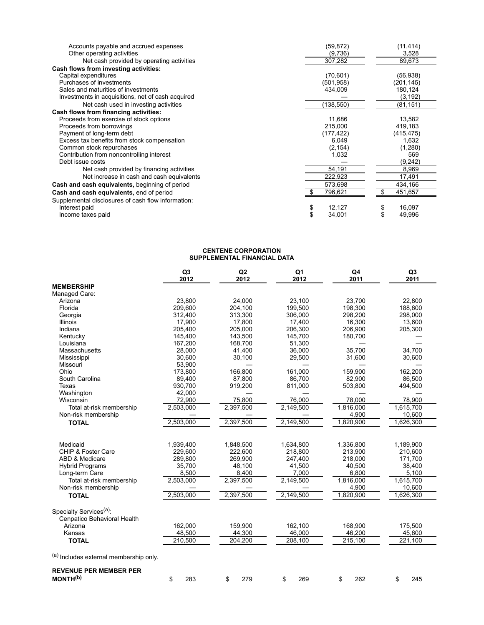| Accounts payable and accrued expenses              | (59, 872)    | (11, 414)    |
|----------------------------------------------------|--------------|--------------|
| Other operating activities                         | (9,736)      | 3,528        |
| Net cash provided by operating activities          | 307,282      | 89,673       |
| Cash flows from investing activities:              |              |              |
| Capital expenditures                               | (70, 601)    | (56, 938)    |
| Purchases of investments                           | (501, 958)   | (201, 145)   |
| Sales and maturities of investments                | 434,009      | 180,124      |
| Investments in acquisitions, net of cash acquired  |              | (3, 192)     |
| Net cash used in investing activities              | (138, 550)   | (81,151)     |
| Cash flows from financing activities:              |              |              |
| Proceeds from exercise of stock options            | 11.686       | 13,582       |
| Proceeds from borrowings                           | 215.000      | 419,183      |
| Payment of long-term debt                          | (177, 422)   | (415, 475)   |
| Excess tax benefits from stock compensation        | 6,049        | 1,632        |
| Common stock repurchases                           | (2, 154)     | (1,280)      |
| Contribution from noncontrolling interest          | 1,032        | 569          |
| Debt issue costs                                   |              | (9,242)      |
| Net cash provided by financing activities          | 54,191       | 8,969        |
| Net increase in cash and cash equivalents          | 222,923      | 17,491       |
| Cash and cash equivalents, beginning of period     | 573,698      | 434,166      |
| Cash and cash equivalents, end of period           | 796,621      | 451,657<br>S |
| Supplemental disclosures of cash flow information: |              |              |
| Interest paid                                      | 12,127<br>\$ | 16,097       |
| Income taxes paid                                  | \$<br>34,001 | 49,996       |

#### **CENTENE CORPORATION SUPPLEMENTAL FINANCIAL DATA**

|                                        | Q <sub>3</sub><br>2012 | Q2<br>2012 | Q1<br>2012 | Q4<br>2011            | Q <sub>3</sub><br>2011 |
|----------------------------------------|------------------------|------------|------------|-----------------------|------------------------|
| <b>MEMBERSHIP</b>                      |                        |            |            |                       |                        |
| Managed Care:                          |                        |            |            |                       |                        |
| Arizona                                | 23,800                 | 24,000     | 23,100     | 23,700                | 22,800                 |
| Florida                                | 209,600                | 204,100    | 199,500    | 198,300               | 188,600                |
| Georgia                                | 312,400                | 313,300    | 306,000    | 298,200               | 298,000                |
| Illinois                               | 17,900                 | 17,800     | 17,400     | 16,300                | 13,600                 |
| Indiana                                | 205,400                | 205,000    | 206,300    | 206,900               | 205,300                |
| Kentucky                               | 145,400                | 143,500    | 145,700    | 180,700               |                        |
| Louisiana                              | 167,200                | 168,700    | 51,300     |                       |                        |
| Massachusetts                          | 28.000                 | 41,400     | 36.000     | 35.700                | 34.700                 |
| Mississippi                            | 30,600                 | 30,100     | 29,500     | 31,600                | 30,600                 |
| Missouri                               | 53,900                 |            |            |                       |                        |
| Ohio                                   | 173,800                | 166,800    | 161,000    | 159,900               | 162,200                |
| South Carolina                         | 89,400                 | 87,800     | 86,700     | 82,900                | 86,500                 |
| <b>Texas</b>                           | 930,700                | 919,200    | 811,000    | 503,800               | 494,500                |
| Washington                             | 42,000                 |            |            |                       |                        |
| Wisconsin                              | 72,900                 | 75,800     | 76,000     | 78,000                | 78,900                 |
| Total at-risk membership               | 2,503,000              | 2,397,500  | 2,149,500  | 1,816,000             | 1,615,700              |
| Non-risk membership                    |                        |            |            | 4,900                 | 10,600                 |
| <b>TOTAL</b>                           | 2,503,000              | 2,397,500  | 2,149,500  | 1,820,900             | 1,626,300              |
|                                        |                        |            |            |                       |                        |
| Medicaid                               | 1,939,400              | 1,848,500  | 1,634,800  | 1,336,800             | 1,189,900              |
| CHIP & Foster Care                     | 229,600                | 222,600    | 218,800    | 213,900               | 210,600                |
| ABD & Medicare                         | 289,800                | 269,900    | 247,400    | 218,000               | 171,700                |
| <b>Hybrid Programs</b>                 | 35,700                 | 48,100     | 41,500     | 40,500                | 38,400                 |
| Long-term Care                         | 8,500                  | 8,400      | 7,000      | 6,800                 | 5,100                  |
| Total at-risk membership               | 2,503,000              | 2,397,500  | 2,149,500  | 1,816,000             | 1,615,700              |
| Non-risk membership                    |                        |            |            | 4,900                 | 10,600                 |
| <b>TOTAL</b>                           | 2,503,000              | 2,397,500  | 2,149,500  | 1,820,900             | 1,626,300              |
| Specialty Services <sup>(a)</sup> :    |                        |            |            |                       |                        |
| Cenpatico Behavioral Health            |                        |            |            |                       |                        |
| Arizona                                | 162,000                | 159,900    | 162,100    | 168,900               | 175,500                |
| Kansas                                 | 48,500                 | 44,300     | 46,000     | 46,200                | 45,600                 |
| <b>TOTAL</b>                           | 210,500                | 204,200    | 208,100    | $\overline{2}15, 100$ | 221,100                |
| (a) Includes external membership only. |                        |            |            |                       |                        |
| <b>REVENUE PER MEMBER PER</b>          |                        |            |            |                       |                        |
| MONTH <sup>(b)</sup>                   | \$<br>283              | \$<br>279  | \$<br>269  | \$<br>262             | \$<br>245              |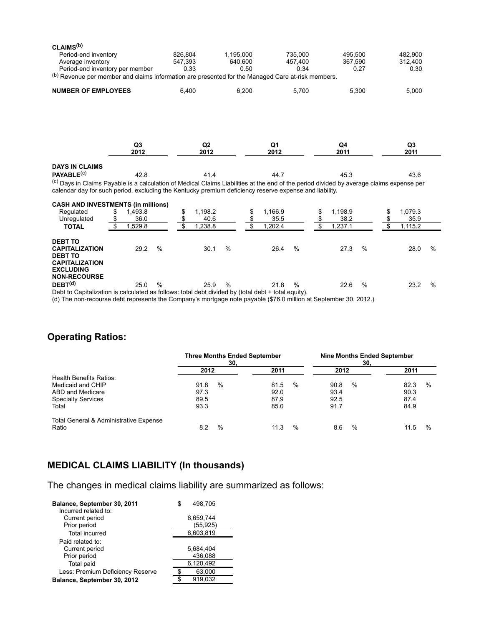| CLAIMS <sup>(b)</sup>                                                                                  |                                 |                       |           |                       |               |                                                                                                                                                     |
|--------------------------------------------------------------------------------------------------------|---------------------------------|-----------------------|-----------|-----------------------|---------------|-----------------------------------------------------------------------------------------------------------------------------------------------------|
| Period-end inventory                                                                                   |                                 | 826,804               | 1,195,000 | 735,000               | 495.500       | 482.900                                                                                                                                             |
| Average inventory                                                                                      |                                 | 547.393               | 640.600   | 457.400               | 367.590       | 312.400                                                                                                                                             |
|                                                                                                        | Period-end inventory per member | 0.33                  | 0.50      | 0.34                  | 0.27          | 0.30                                                                                                                                                |
| (b) Revenue per member and claims information are presented for the Managed Care at-risk members.      |                                 |                       |           |                       |               |                                                                                                                                                     |
| <b>NUMBER OF EMPLOYEES</b>                                                                             |                                 | 6,400                 | 6,200     | 5,700                 | 5,300         | 5,000                                                                                                                                               |
|                                                                                                        | Q <sub>3</sub><br>2012          | Q2<br>2012            |           | Q1<br>2012            | Q4<br>2011    | Q3<br>2011                                                                                                                                          |
| <b>DAYS IN CLAIMS</b>                                                                                  |                                 |                       |           |                       |               |                                                                                                                                                     |
| PAYABLE <sup>(c)</sup>                                                                                 | 42.8                            | 41.4                  |           | 44.7                  | 45.3          | 43.6                                                                                                                                                |
| calendar day for such period, excluding the Kentucky premium deficiency reserve expense and liability. |                                 |                       |           |                       |               | <sup>(c)</sup> Days in Claims Payable is a calculation of Medical Claims Liabilities at the end of the period divided by average claims expense per |
| <b>CASH AND INVESTMENTS (in millions)</b>                                                              |                                 |                       |           |                       |               |                                                                                                                                                     |
| Regulated                                                                                              | 1.493.8<br>\$                   | 1.198.2<br>\$         | \$        | 1.166.9               | 1,198.9<br>S  | 1.079.3                                                                                                                                             |
| Unregulated                                                                                            | \$<br>36.0                      | \$<br>40.6            | \$        | 35.5                  | 38.2          | 35.9                                                                                                                                                |
| <b>TOTAL</b>                                                                                           | \$<br>1,529.8                   | \$<br>1,238.8         | \$        | 1,202.4               | \$<br>1,237.1 | 1,115.2                                                                                                                                             |
| <b>DEBT TO</b><br><b>CAPITALIZATION</b><br><b>DEBT TO</b><br><b>CAPITALIZATION</b>                     | 29.2                            | $\frac{0}{0}$<br>30.1 | %         | $\frac{0}{0}$<br>26.4 | 27.3          | $\%$<br>$\%$<br>28.0                                                                                                                                |

**NON-RECOURSE DEBT (d)** 25.0 % 25.9 % 21.8 % 22.6 % 23.2 %

Debt to Capitalization is calculated as follows: total debt divided by (total debt + total equity).

(d) The non-recourse debt represents the Company's mortgage note payable (\$76.0 million at September 30, 2012.)

# **Operating Ratios:**

**EXCLUDING**

|                                                 | <b>Three Months Ended September</b><br>30. |      |      |               | Nine Months Ended September<br>30. |      |           |  |
|-------------------------------------------------|--------------------------------------------|------|------|---------------|------------------------------------|------|-----------|--|
|                                                 | 2012                                       |      | 2011 |               | 2012                               |      | 2011      |  |
| Health Benefits Ratios:                         |                                            |      |      |               |                                    |      |           |  |
| Medicaid and CHIP                               | 91.8                                       | $\%$ | 81.5 | %             | 90.8                               | %    | 82.3<br>% |  |
| ABD and Medicare                                | 97.3                                       |      | 92.0 |               | 93.4                               |      | 90.3      |  |
| <b>Specialty Services</b>                       | 89.5                                       |      | 87.9 |               | 92.5                               |      | 87.4      |  |
| Total                                           | 93.3                                       |      | 85.0 |               | 91.7                               |      | 84.9      |  |
| Total General & Administrative Expense<br>Ratio | 8.2                                        | $\%$ | 11.3 | $\frac{0}{0}$ | 8.6                                | $\%$ | 11.5<br>% |  |

# **MEDICAL CLAIMS LIABILITY (In thousands)**

The changes in medical claims liability are summarized as follows:

| Balance, September 30, 2011      |  | 498.705   |
|----------------------------------|--|-----------|
| Incurred related to:             |  |           |
| Current period                   |  | 6,659,744 |
| Prior period                     |  | (55, 925) |
| <b>Total incurred</b>            |  | 6,603,819 |
| Paid related to:                 |  |           |
| Current period                   |  | 5,684,404 |
| Prior period                     |  | 436,088   |
| Total paid                       |  | 6,120,492 |
| Less: Premium Deficiency Reserve |  | 63,000    |
| Balance, September 30, 2012      |  | 919.032   |